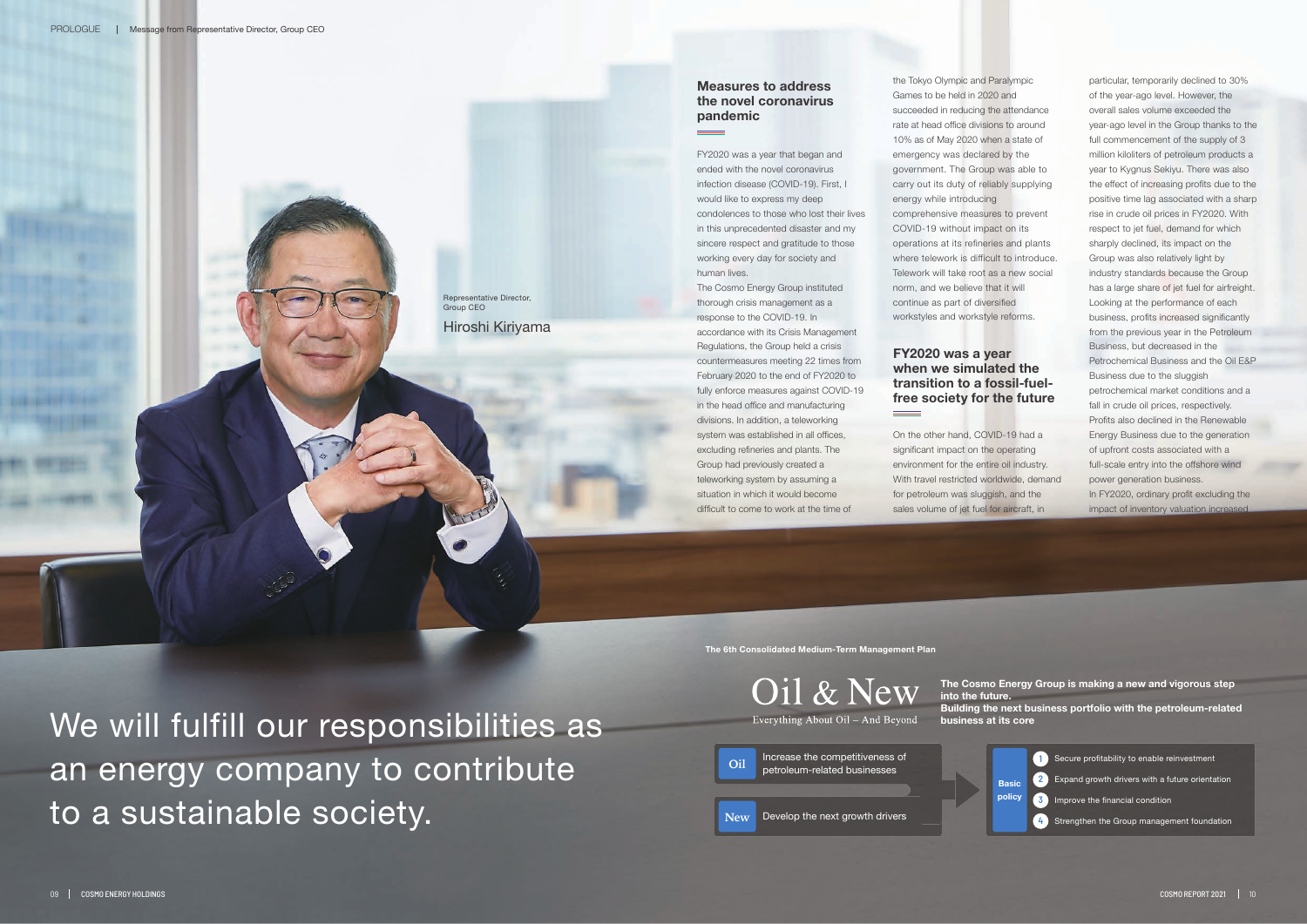We will fulfill our responsibilities as an energy company to contribute to a sustainable society.

**The 6th Consolidated Medium-Term Management Plan**

Oil & New Everything About Oil – And Beyond

**The Cosmo Energy Group is making a new and vigorous step into the future. Building the next business portfolio with the petroleum-related business at its core**

Increase the competitiveness of petroleum-related businesses **Oil**

**New** Develop the next growth drivers

**Basic policy**

1 Secure profitability to enable reinvestment Expand growth drivers with a future orientation **2 3** Improve the financial condition 4 Strengthen the Group management foundation

The Cosmo Energy Group instituted thorough crisis management as a response to the COVID-19. In accordance with its Crisis Management Regulations, the Group held a crisis countermeasures meeting 22 times from February 2020 to the end of FY2020 to fully enforce measures against COVID-19 in the head office and manufacturing divisions. In addition, a teleworking system was established in all offices, excluding refineries and plants. The Group had previously created a teleworking system by assuming a situation in which it would become difficult to come to work at the time of

particular, temporarily declined to 30% of the year-ago level. However, the overall sales volume exceeded the year-ago level in the Group thanks to the full commencement of the supply of 3 million kiloliters of petroleum products a year to Kygnus Sekiyu. There was also the effect of increasing profits due to the positive time lag associated with a sharp rise in crude oil prices in FY2020. With respect to jet fuel, demand for which sharply declined, its impact on the Group was also relatively light by industry standards because the Group has a large share of jet fuel for airfreight. Looking at the performance of each business, profits increased significantly from the previous year in the Petroleum Business, but decreased in the Petrochemical Business and the Oil E&P Business due to the sluggish petrochemical market conditions and a fall in crude oil prices, respectively. Profits also declined in the Renewable Energy Business due to the generation of upfront costs associated with a full-scale entry into the offshore wind power generation business. In FY2020, ordinary profit excluding the impact of inventory valuation increased

## **Measures to address the novel coronavirus pandemic**

 $\qquad \qquad =$ 

Representative Director, Group CEO Hiroshi Kiriyama FY2020 was a year that began and ended with the novel coronavirus infection disease (COVID-19). First, I would like to express my deep condolences to those who lost their lives in this unprecedented disaster and my sincere respect and gratitude to those working every day for society and human lives.

the Tokyo Olympic and Paralympic Games to be held in 2020 and succeeded in reducing the attendance rate at head office divisions to around 10% as of May 2020 when a state of emergency was declared by the government. The Group was able to carry out its duty of reliably supplying energy while introducing comprehensive measures to prevent COVID-19 without impact on its operations at its refineries and plants where telework is difficult to introduce. Telework will take root as a new social norm, and we believe that it will continue as part of diversified workstyles and workstyle reforms.

# **FY2020 was a year when we simulated the transition to a fossil-fuelfree society for the future**

 $\equiv$ 

On the other hand, COVID-19 had a significant impact on the operating environment for the entire oil industry. With travel restricted worldwide, demand for petroleum was sluggish, and the sales volume of jet fuel for aircraft, in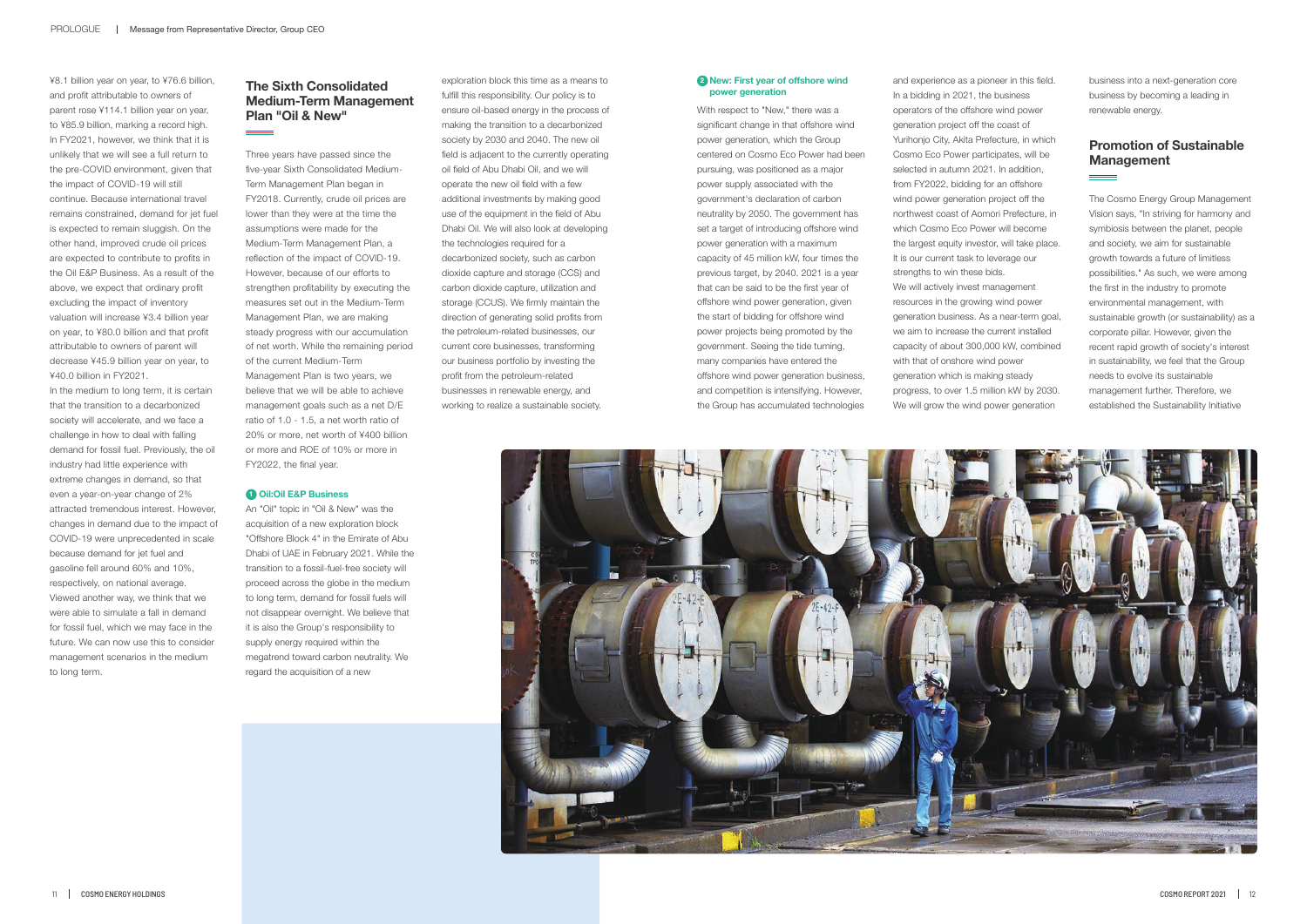business into a next-generation core business by becoming a leading in renewable energy.

# **Promotion of Sustainable Management**

 $\overline{\phantom{a}}$ 

The Cosmo Energy Group Management Vision says, "In striving for harmony and symbiosis between the planet, people and society, we aim for sustainable growth towards a future of limitless possibilities." As such, we were among the first in the industry to promote environmental management, with sustainable growth (or sustainability) as a corporate pillar. However, given the recent rapid growth of society's interest in sustainability, we feel that the Group needs to evolve its sustainable management further. Therefore, we established the Sustainability Initiative

¥8.1 billion year on year, to ¥76.6 billion, and profit attributable to owners of parent rose ¥114.1 billion year on year, to ¥85.9 billion, marking a record high. In FY2021, however, we think that it is unlikely that we will see a full return to the pre-COVID environment, given that the impact of COVID-19 will still continue. Because international travel remains constrained, demand for jet fuel is expected to remain sluggish. On the other hand, improved crude oil prices are expected to contribute to profits in the Oil E&P Business. As a result of the above, we expect that ordinary profit excluding the impact of inventory valuation will increase ¥3.4 billion year on year, to ¥80.0 billion and that profit attributable to owners of parent will decrease ¥45.9 billion year on year, to ¥40.0 billion in FY2021.

In the medium to long term, it is certain that the transition to a decarbonized society will accelerate, and we face a challenge in how to deal with falling demand for fossil fuel. Previously, the oil industry had little experience with extreme changes in demand, so that even a year-on-year change of 2% attracted tremendous interest. However, changes in demand due to the impact of COVID-19 were unprecedented in scale because demand for jet fuel and gasoline fell around 60% and 10%, respectively, on national average. Viewed another way, we think that we were able to simulate a fall in demand for fossil fuel, which we may face in the future. We can now use this to consider management scenarios in the medium to long term.

# **The Sixth Consolidated Medium-Term Management Plan "Oil & New"**

 $\frac{1}{2} \left( \frac{1}{2} \right)^2 \left( \frac{1}{2} \right)^2$ 

Three years have passed since the five-year Sixth Consolidated Medium-Term Management Plan began in FY2018. Currently, crude oil prices are lower than they were at the time the assumptions were made for the Medium-Term Management Plan, a reflection of the impact of COVID-19. However, because of our efforts to strengthen profitability by executing the measures set out in the Medium-Term Management Plan, we are making steady progress with our accumulation of net worth. While the remaining period of the current Medium-Term

Management Plan is two years, we believe that we will be able to achieve management goals such as a net D/E ratio of 1.0 - 1.5, a net worth ratio of 20% or more, net worth of ¥400 billion or more and ROE of 10% or more in FY2022, the final year.

#### **1 Oil:Oil E&P Business**

An "Oil" topic in "Oil & New" was the acquisition of a new exploration block "Offshore Block 4" in the Emirate of Abu Dhabi of UAE in February 2021. While the transition to a fossil-fuel-free society will proceed across the globe in the medium to long term, demand for fossil fuels will not disappear overnight. We believe that it is also the Group's responsibility to supply energy required within the megatrend toward carbon neutrality. We regard the acquisition of a new

exploration block this time as a means to fulfill this responsibility. Our policy is to ensure oil-based energy in the process of making the transition to a decarbonized society by 2030 and 2040. The new oil field is adjacent to the currently operating oil field of Abu Dhabi Oil, and we will operate the new oil field with a few additional investments by making good use of the equipment in the field of Abu Dhabi Oil. We will also look at developing the technologies required for a decarbonized society, such as carbon dioxide capture and storage (CCS) and carbon dioxide capture, utilization and storage (CCUS). We firmly maintain the direction of generating solid profits from the petroleum-related businesses, our current core businesses, transforming our business portfolio by investing the profit from the petroleum-related businesses in renewable energy, and working to realize a sustainable society.

#### **New: First year of offshore wind 2 power generation**

With respect to "New," there was a significant change in that offshore wind power generation, which the Group centered on Cosmo Eco Power had been pursuing, was positioned as a major power supply associated with the government's declaration of carbon neutrality by 2050. The government has set a target of introducing offshore wind power generation with a maximum capacity of 45 million kW, four times the previous target, by 2040. 2021 is a year that can be said to be the first year of offshore wind power generation, given the start of bidding for offshore wind power projects being promoted by the government. Seeing the tide turning, many companies have entered the offshore wind power generation business, and competition is intensifying. However, the Group has accumulated technologies

and experience as a pioneer in this field. In a bidding in 2021, the business operators of the offshore wind power generation project off the coast of Yurihonjo City, Akita Prefecture, in which Cosmo Eco Power participates, will be selected in autumn 2021. In addition, from FY2022, bidding for an offshore wind power generation project off the northwest coast of Aomori Prefecture, in which Cosmo Eco Power will become the largest equity investor, will take place. It is our current task to leverage our strengths to win these bids. We will actively invest management resources in the growing wind power generation business. As a near-term goal, we aim to increase the current installed capacity of about 300,000 kW, combined with that of onshore wind power generation which is making steady progress, to over 1.5 million kW by 2030. We will grow the wind power generation